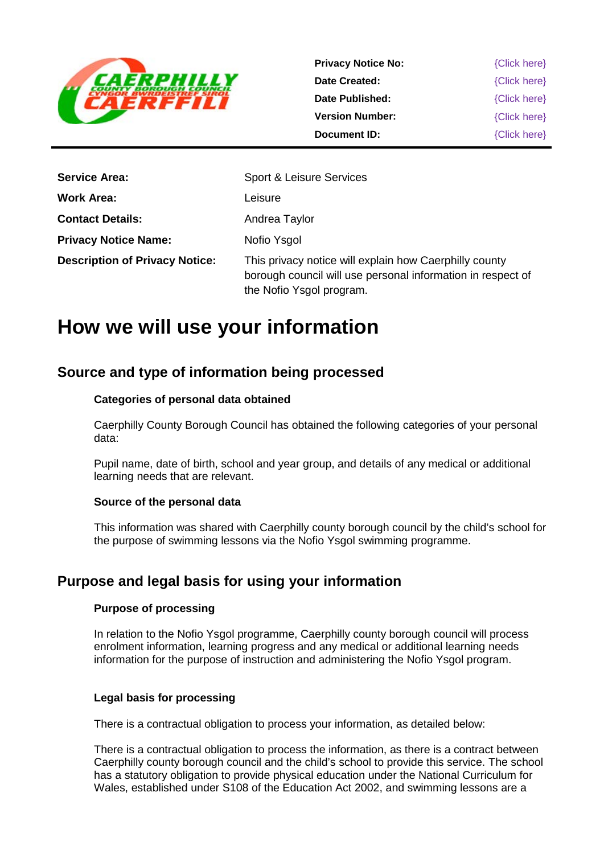

| <b>Privacy Notice No:</b> | {Click here} |
|---------------------------|--------------|
| Date Created:             | {Click here} |
| <b>Date Published:</b>    | {Click here} |
| <b>Version Number:</b>    | {Click here} |
| Document ID:              | {Click here} |
|                           |              |

| <b>Service Area:</b>                  | <b>Sport &amp; Leisure Services</b>                                                                                                               |
|---------------------------------------|---------------------------------------------------------------------------------------------------------------------------------------------------|
| <b>Work Area:</b>                     | Leisure                                                                                                                                           |
| <b>Contact Details:</b>               | Andrea Taylor                                                                                                                                     |
| <b>Privacy Notice Name:</b>           | Nofio Ysgol                                                                                                                                       |
| <b>Description of Privacy Notice:</b> | This privacy notice will explain how Caerphilly county<br>borough council will use personal information in respect of<br>the Nofio Ysgol program. |

## **How we will use your information**

## **Source and type of information being processed**

#### **Categories of personal data obtained**

Caerphilly County Borough Council has obtained the following categories of your personal data:

Pupil name, date of birth, school and year group, and details of any medical or additional learning needs that are relevant.

#### **Source of the personal data**

This information was shared with Caerphilly county borough council by the child's school for the purpose of swimming lessons via the Nofio Ysgol swimming programme.

### **Purpose and legal basis for using your information**

#### **Purpose of processing**

In relation to the Nofio Ysgol programme, Caerphilly county borough council will process enrolment information, learning progress and any medical or additional learning needs information for the purpose of instruction and administering the Nofio Ysgol program.

#### **Legal basis for processing**

There is a contractual obligation to process your information, as detailed below:

There is a contractual obligation to process the information, as there is a contract between Caerphilly county borough council and the child's school to provide this service. The school has a statutory obligation to provide physical education under the National Curriculum for Wales, established under S108 of the Education Act 2002, and swimming lessons are a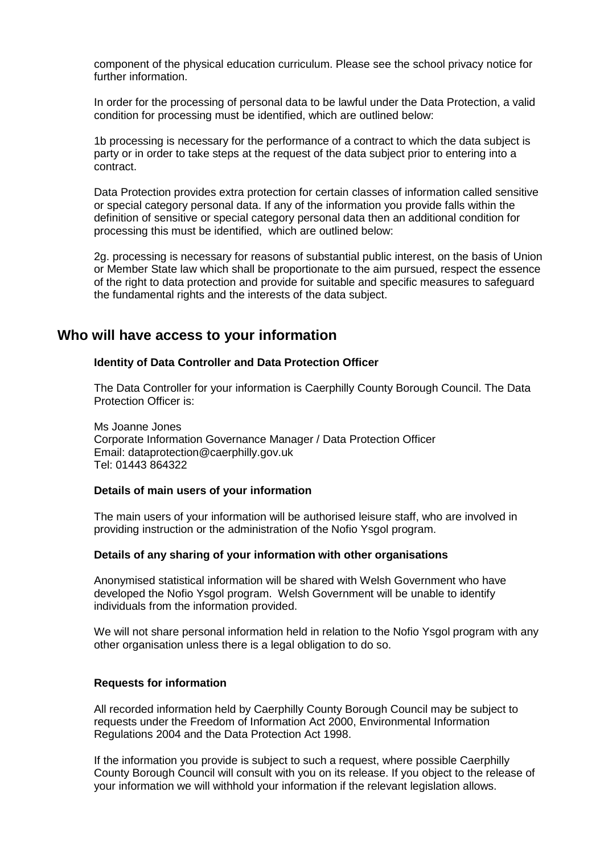component of the physical education curriculum. Please see the school privacy notice for further information.

In order for the processing of personal data to be lawful under the Data Protection, a valid condition for processing must be identified, which are outlined below:

1b processing is necessary for the performance of a contract to which the data subject is party or in order to take steps at the request of the data subject prior to entering into a contract.

Data Protection provides extra protection for certain classes of information called sensitive or special category personal data. If any of the information you provide falls within the definition of sensitive or special category personal data then an additional condition for processing this must be identified, which are outlined below:

2g. processing is necessary for reasons of substantial public interest, on the basis of Union or Member State law which shall be proportionate to the aim pursued, respect the essence of the right to data protection and provide for suitable and specific measures to safeguard the fundamental rights and the interests of the data subject.

#### **Who will have access to your information**

#### **Identity of Data Controller and Data Protection Officer**

The Data Controller for your information is Caerphilly County Borough Council. The Data Protection Officer is:

Ms Joanne Jones Corporate Information Governance Manager / Data Protection Officer Email: dataprotection@caerphilly.gov.uk Tel: 01443 864322

#### **Details of main users of your information**

The main users of your information will be authorised leisure staff, who are involved in providing instruction or the administration of the Nofio Ysgol program.

#### **Details of any sharing of your information with other organisations**

Anonymised statistical information will be shared with Welsh Government who have developed the Nofio Ysgol program. Welsh Government will be unable to identify individuals from the information provided.

We will not share personal information held in relation to the Nofio Ysgol program with any other organisation unless there is a legal obligation to do so.

#### **Requests for information**

All recorded information held by Caerphilly County Borough Council may be subject to requests under the Freedom of Information Act 2000, Environmental Information Regulations 2004 and the Data Protection Act 1998.

If the information you provide is subject to such a request, where possible Caerphilly County Borough Council will consult with you on its release. If you object to the release of your information we will withhold your information if the relevant legislation allows.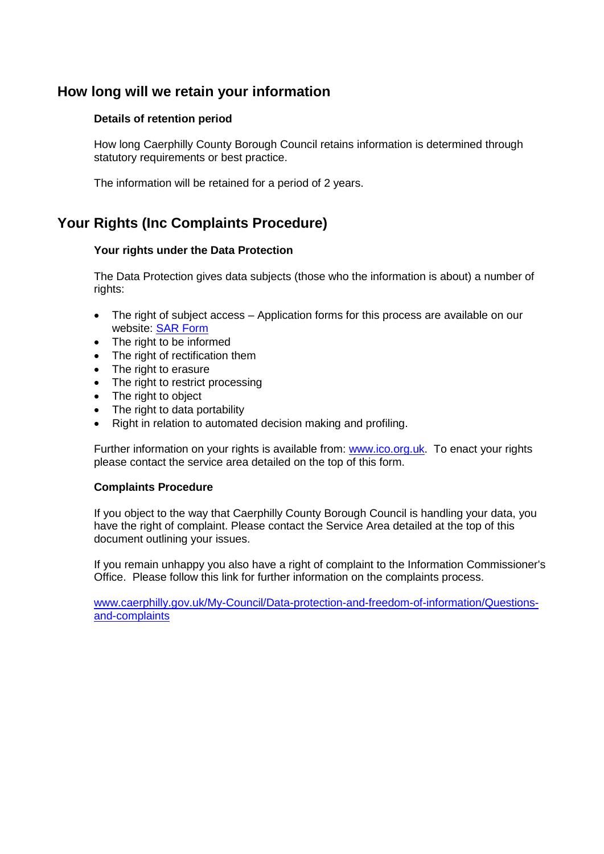## **How long will we retain your information**

#### **Details of retention period**

How long Caerphilly County Borough Council retains information is determined through statutory requirements or best practice.

The information will be retained for a period of 2 years.

## **Your Rights (Inc Complaints Procedure)**

#### **Your rights under the Data Protection**

The Data Protection gives data subjects (those who the information is about) a number of rights:

- The right of subject access Application forms for this process are available on our website: [SAR Form](http://www.caerphilly.gov.uk/CaerphillyDocs/Council-and-democracy/sar_form.aspx)
- The right to be informed
- The right of rectification them
- The right to erasure
- The right to restrict processing
- The right to object
- The right to data portability
- Right in relation to automated decision making and profiling.

Further information on your rights is available from: [www.ico.org.uk.](http://www.ico.org.uk/) To enact your rights please contact the service area detailed on the top of this form.

#### **Complaints Procedure**

If you object to the way that Caerphilly County Borough Council is handling your data, you have the right of complaint. Please contact the Service Area detailed at the top of this document outlining your issues.

If you remain unhappy you also have a right of complaint to the Information Commissioner's Office. Please follow this link for further information on the complaints process.

[www.caerphilly.gov.uk/My-Council/Data-protection-and-freedom-of-information/Questions](http://www.caerphilly.gov.uk/My-Council/Data-protection-and-freedom-of-information/Questions-and-complaints)[and-complaints](http://www.caerphilly.gov.uk/My-Council/Data-protection-and-freedom-of-information/Questions-and-complaints)